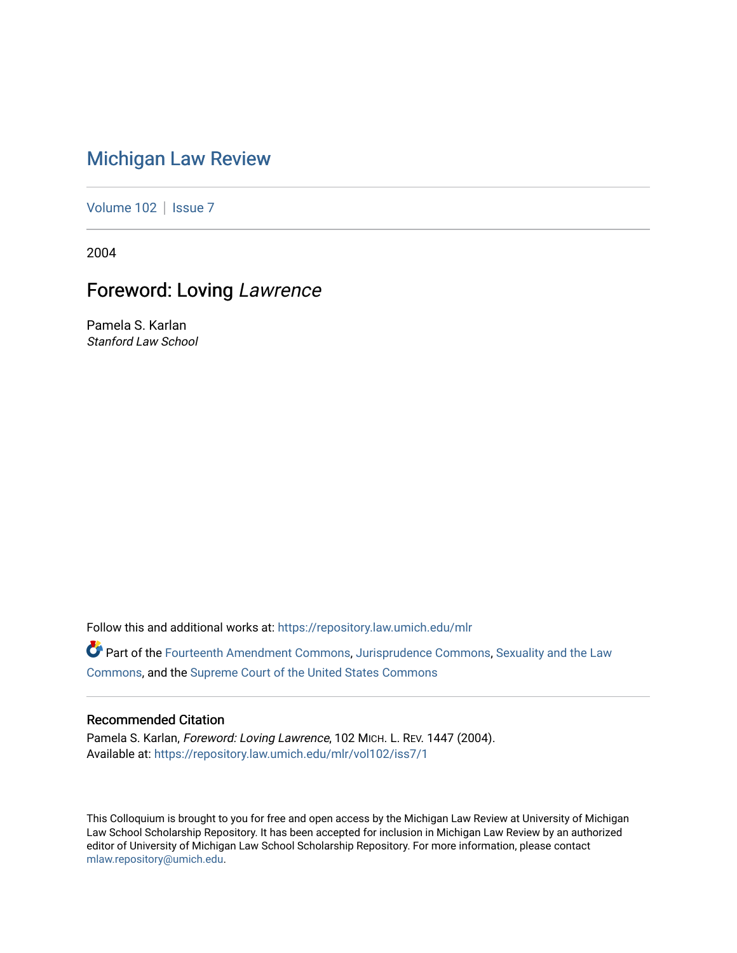# [Michigan Law Review](https://repository.law.umich.edu/mlr)

[Volume 102](https://repository.law.umich.edu/mlr/vol102) | [Issue 7](https://repository.law.umich.edu/mlr/vol102/iss7)

2004

# Foreword: Loving Lawrence

Pamela S. Karlan Stanford Law School

Follow this and additional works at: [https://repository.law.umich.edu/mlr](https://repository.law.umich.edu/mlr?utm_source=repository.law.umich.edu%2Fmlr%2Fvol102%2Fiss7%2F1&utm_medium=PDF&utm_campaign=PDFCoverPages) 

Part of the [Fourteenth Amendment Commons](http://network.bepress.com/hgg/discipline/1116?utm_source=repository.law.umich.edu%2Fmlr%2Fvol102%2Fiss7%2F1&utm_medium=PDF&utm_campaign=PDFCoverPages), [Jurisprudence Commons,](http://network.bepress.com/hgg/discipline/610?utm_source=repository.law.umich.edu%2Fmlr%2Fvol102%2Fiss7%2F1&utm_medium=PDF&utm_campaign=PDFCoverPages) Sexuality and the Law [Commons](http://network.bepress.com/hgg/discipline/877?utm_source=repository.law.umich.edu%2Fmlr%2Fvol102%2Fiss7%2F1&utm_medium=PDF&utm_campaign=PDFCoverPages), and the [Supreme Court of the United States Commons](http://network.bepress.com/hgg/discipline/1350?utm_source=repository.law.umich.edu%2Fmlr%2Fvol102%2Fiss7%2F1&utm_medium=PDF&utm_campaign=PDFCoverPages) 

### Recommended Citation

Pamela S. Karlan, Foreword: Loving Lawrence, 102 MICH. L. REV. 1447 (2004). Available at: [https://repository.law.umich.edu/mlr/vol102/iss7/1](https://repository.law.umich.edu/mlr/vol102/iss7/1?utm_source=repository.law.umich.edu%2Fmlr%2Fvol102%2Fiss7%2F1&utm_medium=PDF&utm_campaign=PDFCoverPages) 

This Colloquium is brought to you for free and open access by the Michigan Law Review at University of Michigan Law School Scholarship Repository. It has been accepted for inclusion in Michigan Law Review by an authorized editor of University of Michigan Law School Scholarship Repository. For more information, please contact [mlaw.repository@umich.edu.](mailto:mlaw.repository@umich.edu)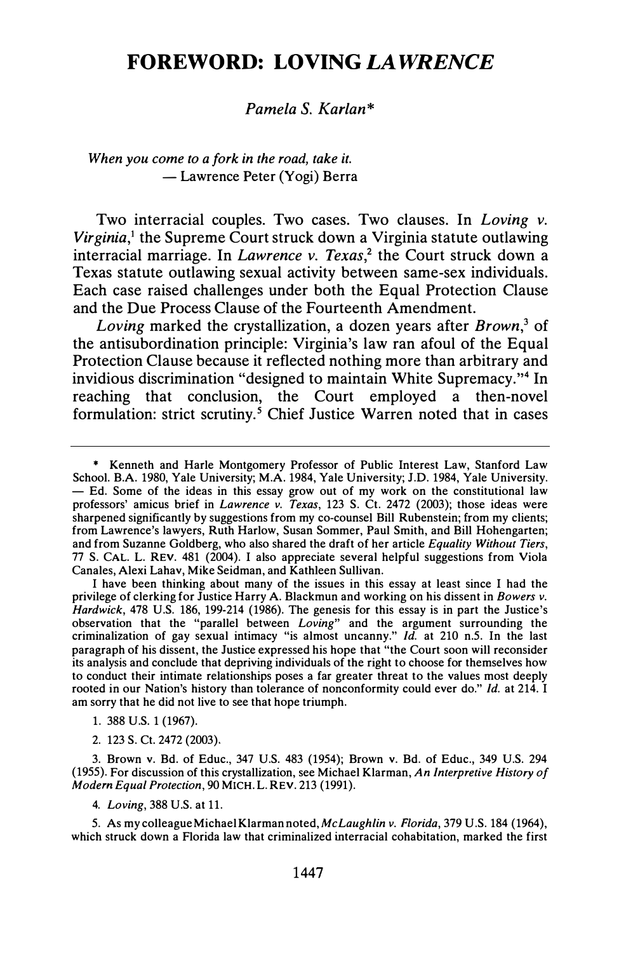### FOREWORD: LOVING LAWRENCE

### Pamela S. Karlan\*

When you come to a fork in the road, take it. — Lawrence Peter (Yogi) Berra

Two interracial couples. Two cases. Two clauses. In Loving v. Virginia, $<sup>1</sup>$  the Supreme Court struck down a Virginia statute outlawing</sup> interracial marriage. In *Lawrence v. Texas*,<sup>2</sup> the Court struck down a Texas statute outlawing sexual activity between same-sex individuals. Each case raised challenges under both the Equal Protection Clause and the Due Process Clause of the Fourteenth Amendment.

Loving marked the crystallization, a dozen years after  $Brown^3$  of the antisubordination principle: Virginia's law ran afoul of the Equal Protection Clause because it reflected nothing more than arbitrary and invidious discrimination "designed to maintain White Supremacy."4 In reaching that conclusion, the Court employed a then-novel formulation: strict scrutiny.<sup>5</sup> Chief Justice Warren noted that in cases

I have been thinking about many of the issues in this essay at least since I had the privilege of clerking for Justice Harry A. Blackmun and working on his dissent in Bowers v. Hardwick, 478 U.S. 186, 199-214 (1986). The genesis for this essay is in part the Justice's observation that the "parallel between Loving" and the argument surrounding the criminalization of gay sexual intimacy "is almost uncanny."  $Id$  at 210 n.5. In the last paragraph of his dissent, the Justice expressed his hope that "the Court soon will reconsider its analysis and conclude that depriving individuals of the right to choose for themselves how to conduct their intimate relationships poses a far greater threat to the values most deeply rooted in our Nation's history than tolerance of nonconformity could ever do." Id. at 214. I am sorry that he did not live to see that hope triumph.

1. 388 U.S. 1 (1967).

2. 123 S. Ct. 2472 (2003).

3. Brown v. Bd. of Educ., 347 U.S. 483 (1954); Brown v. Bd. of Educ., 349 U.S. 294 (1955). For discussion of this crystallization, see Michael Klarman, An Interpretive History of Modern Equal Protection, 90 MICH. L. REV. 213 (1991).

4. Loving, 388 U.S. at 11.

5. As my colleague Michael Klarman noted, McLaughlin v. Florida, 379 U.S. 184 (1964), which struck down a Florida law that criminalized interracial cohabitation, marked the first

<sup>\*</sup> Kenneth and Harle Montgomery Professor of Public Interest Law, Stanford Law School. B.A. 1980, Yale University; M.A. 1984, Yale University; J.D. 1984, Yale University. - Ed. Some of the ideas in this essay grow out of my work on the constitutional law professors' amicus brief in *Lawrence v. Texas*, 123 S. Ct. 2472 (2003); those ideas were sharpened significantly by suggestions from my co-counsel Bill Rubenstein; from my clients; from Lawrence's lawyers, Ruth Harlow, Susan Sommer, Paul Smith, and Bill Hohengarten; and from Suzanne Goldberg, who also shared the draft of her article Equality Without Tiers, 77 S. CAL. L. REV. 481 (2004). I also appreciate several helpful suggestions from Viola Canales, Alexi Lahav, Mike Seidman, and Kathleen Sullivan.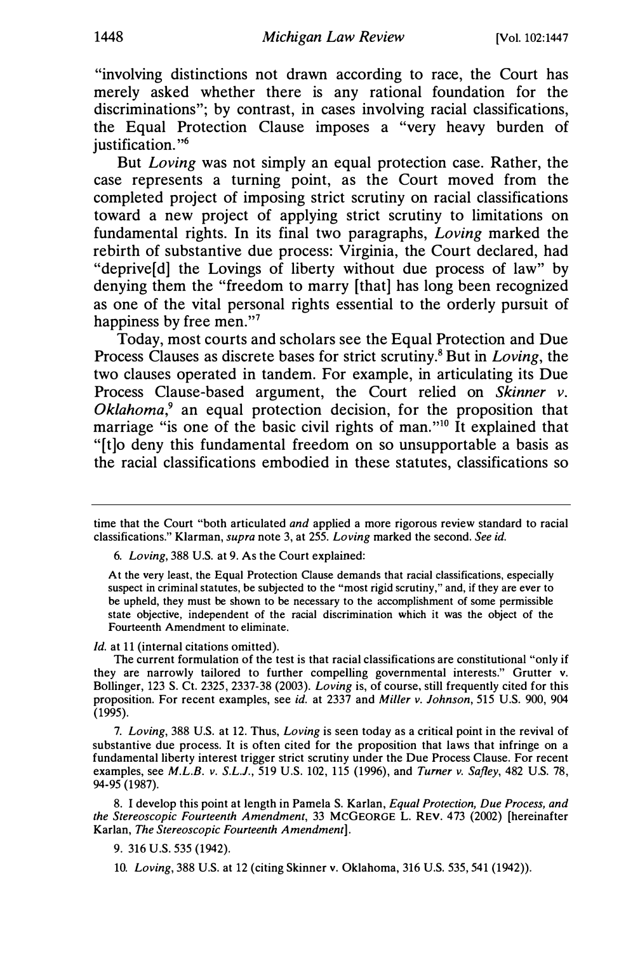"involving distinctions not drawn according to race, the Court has merely asked whether there is any rational foundation for the discriminations"; by contrast, in cases involving racial classifications, the Equal Protection Clause imposes a "very heavy burden of justification."<sup>6</sup>

But Loving was not simply an equal protection case. Rather, the case represents a turning point, as the Court moved from the completed project of imposing strict scrutiny on racial classifications toward a new project of applying strict scrutiny to limitations on fundamental rights. In its final two paragraphs, Loving marked the rebirth of substantive due process: Virginia, the Court declared, had "deprive[d] the Lovings of liberty without due process of law" by denying them the "freedom to marry [that] has long been recognized as one of the vital personal rights essential to the orderly pursuit of happiness by free men."<sup>7</sup>

Today, most courts and scholars see the Equal Protection and Due Process Clauses as discrete bases for strict scrutiny.<sup>8</sup> But in *Loving*, the two clauses operated in tandem. For example, in articulating its Due Process Clause-based argument, the Court relied on Skinner v.  $Oklahoma<sup>9</sup>$  an equal protection decision, for the proposition that marriage "is one of the basic civil rights of man."<sup>10</sup> It explained that "[t]o deny this fundamental freedom on so unsupportable a basis as the racial classifications embodied in these statutes, classifications so

6. Loving, 388 U.S. at 9. As the Court explained:

At the very least, the Equal Protection Clause demands that racial classifications, especially suspect in criminal statutes, be subjected to the "most rigid scrutiny," and, if they are ever to be upheld, they must be shown to be necessary to the accomplishment of some permissible state objective, independent of the racial discrimination which it was the object of the Fourteenth Amendment to eliminate.

Id. at 11 (internal citations omitted).

The current formulation of the test is that racial classifications are constitutional "only if they are narrowly tailored to further compelling governmental interests." Grutter v. Bollinger, 123 S. Ct. 2325, 2337-38 (2003). Loving is, of course, still frequently cited for this proposition. For recent examples, see id. at 2337 and Miller v. Johnson, 515 U.S. 900, 904 (1995).

7. Loving, 388 U.S. at 12. Thus, Loving is seen today as a critical point in the revival of substantive due process. It is often cited for the proposition that Jaws that infringe on a fundamental liberty interest trigger strict scrutiny under the Due Process Clause. For recent examples, see M.L.B. v. S.L.J., 519 U.S. 102, 115 (1996), and Turner v. Safley, 482 U.S. 78, 94-95 (1987).

8. I develop this point at length in Pamela S. Karlan, Equal Protection, Due Process, and the Stereoscopic Fourteenth Amendment, 33 MCGEORGE L. REV. 473 (2002) [hereinafter Karlan, The Stereoscopic Fourteenth Amendment].

9. 316 U.S. 535 (1942).

10. Loving, 388 U.S. at 12 (citing Skinner v. Oklahoma, 316 U.S. 535, 541 (1942)).

time that the Court "both articulated and applied a more rigorous review standard to racial classifications." Klarman, supra note 3, at 255. Loving marked the second. See id.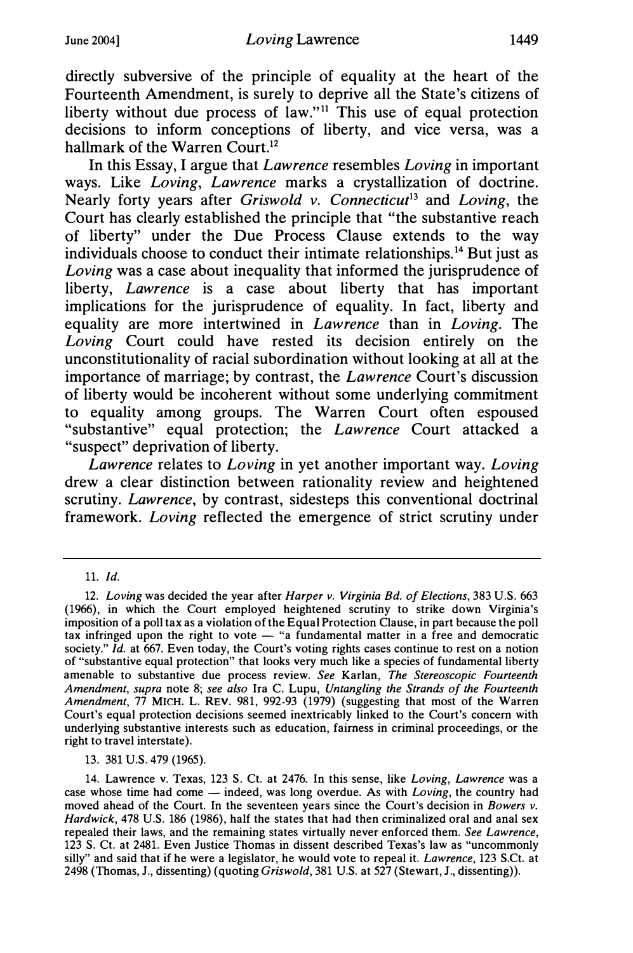directly subversive of the principle of equality at the heart of the Fourteenth Amendment, is surely to deprive all the State's citizens of liberty without due process of law."<sup>11</sup> This use of equal protection decisions to inform conceptions of liberty, and vice versa, was a hallmark of the Warren Court.<sup>12</sup>

In this Essay, I argue that Lawrence resembles Loving in important ways. Like Loving, Lawrence marks a crystallization of doctrine. Nearly forty years after Griswold v. Connecticut<sup>13</sup> and Loving, the Court has clearly established the principle that "the substantive reach of liberty" under the Due Process Clause extends to the way individuals choose to conduct their intimate relationships.14 But just as Loving was a case about inequality that informed the jurisprudence of liberty, *Lawrence* is a case about liberty that has important implications for the jurisprudence of equality. In fact, liberty and equality are more intertwined in Lawrence than in Loving. The Loving Court could have rested its decision entirely on the unconstitutionality of racial subordination without looking at all at the importance of marriage; by contrast, the Lawrence Court's discussion of liberty would be incoherent without some underlying commitment to equality among groups. The Warren Court often espoused "substantive" equal protection; the Lawrence Court attacked a "suspect" deprivation of liberty.

Lawrence relates to Loving in yet another important way. Loving drew a clear distinction between rationality review and heightened scrutiny. Lawrence, by contrast, sidesteps this conventional doctrinal framework. Loving reflected the emergence of strict scrutiny under

13. 381 U.S. 479 (1965).

<sup>11.</sup> Id.

<sup>12.</sup> Loving was decided the year after Harper v. Virginia Bd. of Elections, 383 U.S. 663 (1966), in which the Court employed heightened scrutiny to strike down Virginia's imposition of a poll tax as a violation of the Equal Protection Clause, in part because the poll tax infringed upon the right to vote - "a fundamental matter in a free and democratic society." Id. at 667. Even today, the Court's voting rights cases continue to rest on a notion of "substantive equal protection" that looks very much like a species of fundamental liberty amenable to substantive due process review. See Karlan, The Stereoscopic Fourteenth Amendment, supra note 8; see also Ira C. Lupu, Untangling the Strands of the Fourteenth Amendment, 77 MICH. L. REV. 981, 992-93 (1979) (suggesting that most of the Warren Court's equal protection decisions seemed inextricably linked to the Court's concern with underlying substantive interests such as education, fairness in criminal proceedings, or the right to travel interstate).

<sup>14.</sup> Lawrence v. Texas, 123 S. Ct. at 2476. In this sense, like Loving, Lawrence was a case whose time had come  $-$  indeed, was long overdue. As with *Loving*, the country had moved ahead of the Court. In the seventeen years since the Court's decision in Bowers v. Hardwick, 478 U.S. 186 (1986), half the states that had then criminalized oral and anal sex repealed their laws, and the remaining states virtually never enforced them. See Lawrence, 123 S. Ct. at 2481. Even Justice Thomas in dissent described Texas's law as "uncommonly silly" and said that if he were a legislator, he would vote to repeal it. Lawrence, 123 S.Ct. at 2498 (Thomas, J., dissenting) (quoting Griswold, 381 U.S. at 527 (Stewart, J., dissenting)).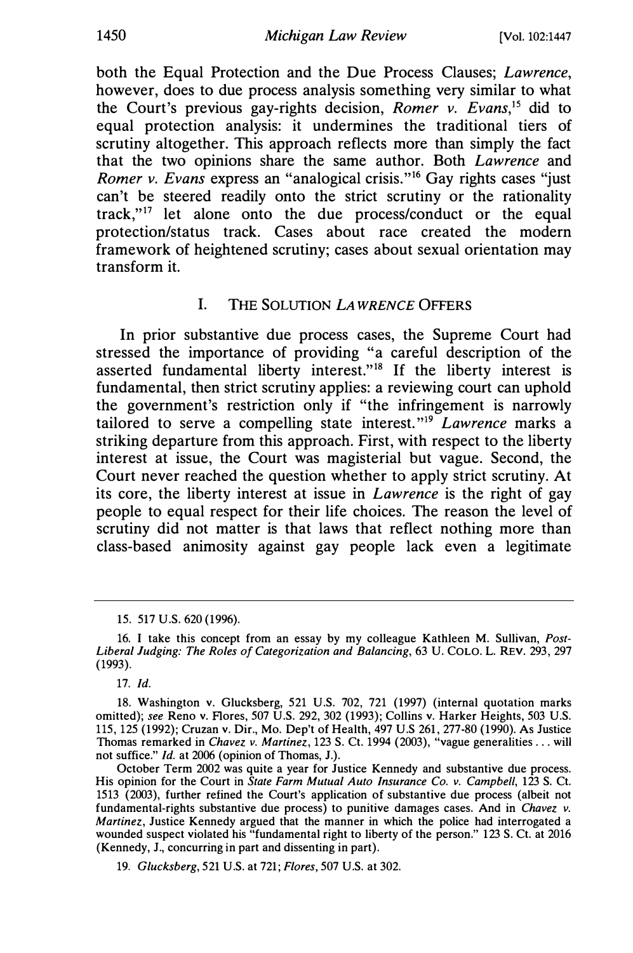both the Equal Protection and the Due Process Clauses; Lawrence, however, does to due process analysis something very similar to what the Court's previous gay-rights decision, Romer v. Evans,<sup>15</sup> did to equal protection analysis: it undermines the traditional tiers of scrutiny altogether. This approach reflects more than simply the fact that the two opinions share the same author. Both Lawrence and Romer v. Evans express an "analogical crisis."16 Gay rights cases "just can't be steered readily onto the strict scrutiny or the rationality track,"17 let alone onto the due process/conduct or the equal protection/status track. Cases about race created the modern framework of heightened scrutiny; cases about sexual orientation may transform it.

#### I. THE SOLUTION LAWRENCE OFFERS

In prior substantive due process cases, the Supreme Court had stressed the importance of providing "a careful description of the asserted fundamental liberty interest."18 If the liberty interest is fundamental, then strict scrutiny applies: a reviewing court can uphold the government's restriction only if "the infringement is narrowly tailored to serve a compelling state interest."<sup>19</sup> Lawrence marks a striking departure from this approach. First, with respect to the liberty interest at issue, the Court was magisterial but vague. Second, the Court never reached the question whether to apply strict scrutiny. At its core, the liberty interest at issue in Lawrence is the right of gay people to equal respect for their life choices. The reason the level of scrutiny did not matter is that laws that reflect nothing more than class-based animosity against gay people lack even a legitimate

17. Id.

October Term 2002 was quite a year for Justice Kennedy and substantive due process. His opinion for the Court in State Farm Mutual Auto Insurance Co. v. Campbell, 123 S. Ct. 1513 (2003), further refined the Court's application of substantive due process (albeit not fundamental-rights substantive due process) to punitive damages cases. And in Chavez v. Martinez, Justice Kennedy argued that the manner in which the police had interrogated a wounded suspect violated his "fundamental right to liberty of the person." 123 S. Ct. at 2016 (Kennedy, J., concurring in part and dissenting in part).

19. Glucksberg, 521 U.S. at 721; Flores, 507 U.S. at 302.

<sup>15. 517</sup> U.S. 620 (1996).

<sup>16.</sup> I take this concept from an essay by my colleague Kathleen M. Sullivan, Post-Liberal Judging: The Roles of Categorization and Balancing, 63 U. COLO. L. REV. 293, 297 (1993).

<sup>18.</sup> Washington v. Glucksberg, 521 U.S. 702, 721 (1997) (internal quotation marks omitted); see Reno v. Hores, 507 U.S. 292, 302 (1993); Collins v. Harker Heights, 503 U.S. 115, 125 (1992); Cruzan v. Dir., Mo. Dep't of Health, 497 U.S 261, 277-80 (1990). As Justice Thomas remarked in Chavez v. Martinez, 123 S. Ct. 1994 (2003), "vague generalities ... will not suffice." Id. at 2006 (opinion of Thomas, J.).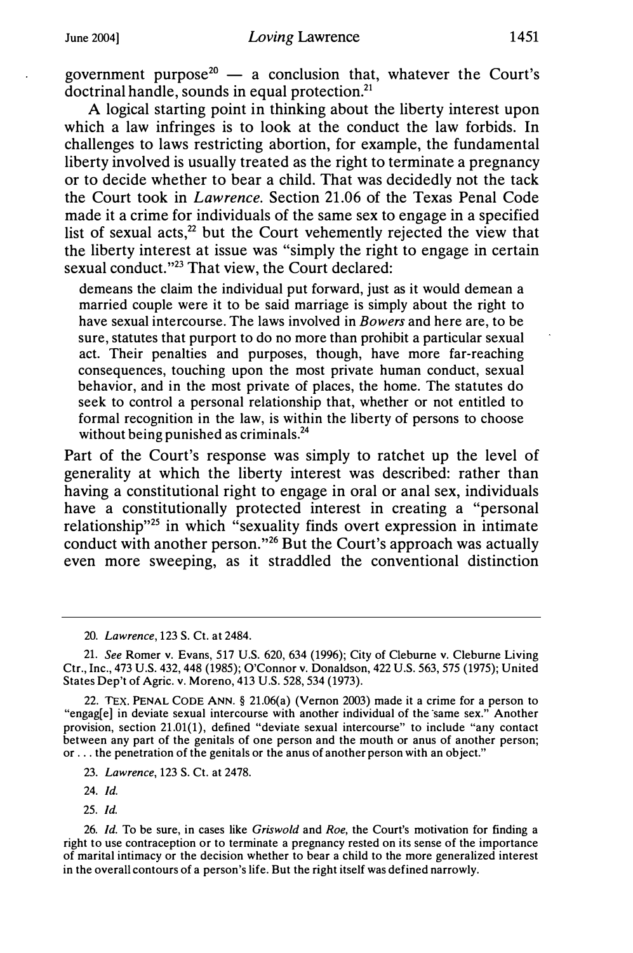government purpose<sup>20</sup>  $-$  a conclusion that, whatever the Court's doctrinal handle, sounds in equal protection.<sup>21</sup>

A logical starting point in thinking about the liberty interest upon which a law infringes is to look at the conduct the law forbids. In challenges to laws restricting abortion, for example, the fundamental liberty involved is usually treated as the right to terminate a pregnancy or to decide whether to bear a child. That was decidedly not the tack the Court took in Lawrence. Section 21.06 of the Texas Penal Code made it a crime for individuals of the same sex to engage in a specified list of sexual acts, $2$  but the Court vehemently rejected the view that the liberty interest at issue was "simply the right to engage in certain sexual conduct."<sup>23</sup> That view, the Court declared:

demeans the claim the individual put forward, just as it would demean a married couple were it to be said marriage is simply about the right to have sexual intercourse. The laws involved in Bowers and here are, to be sure, statutes that purport to do no more than prohibit a particular sexual act. Their penalties and purposes, though, have more far-reaching consequences, touching upon the most private human conduct, sexual behavior, and in the most private of places, the home. The statutes do seek to control a personal relationship that, whether or not entitled to formal recognition in the law, is within the liberty of persons to choose without being punished as criminals.<sup>24</sup>

Part of the Court's response was simply to ratchet up the level of generality at which the liberty interest was described: rather than having a constitutional right to engage in oral or anal sex, individuals have a constitutionally protected interest in creating a "personal relationship"<sup>25</sup> in which "sexuality finds overt expression in intimate conduct with another person."<sup>26</sup> But the Court's approach was actually even more sweeping, as it straddled the conventional distinction

22. TEX. PENAL CODE ANN. § 21.06(a) (Vernon 2003) made it a crime for a person to "engag[e] in deviate sexual intercourse with another individual of the same sex." Another provision, section 21.01(1), defined "deviate sexual intercourse" to include "any contact between any part of the genitals of one person and the mouth or anus of another person; or ... the penetration of the genitals or the anus of another person with an object."

23. Lawrence, 123 S. Ct. at 2478.

24. Id.

25. Id.

<sup>20.</sup> Lawrence, 123 S. Ct. at 2484.

<sup>21.</sup> See Romer v. Evans, 517 U.S. 620, 634 (1996); City of Cleburne v. Cleburne Living Ctr., Inc., 473 U.S. 432, 448 (1985); O'Connor v. Donaldson, 422 U.S. 563, 575 (1975); United States Dep't of Agric. v. Moreno, 413 U.S. 528, 534 (1973).

<sup>26.</sup> Id. To be sure, in cases like Griswold and Roe, the Court's motivation for finding a right to use contraception or to terminate a pregnancy rested on its sense of the importance of marital intimacy or the decision whether to bear a child to the more generalized interest in the overall contours of a person's life. But the right itself was defined narrowly.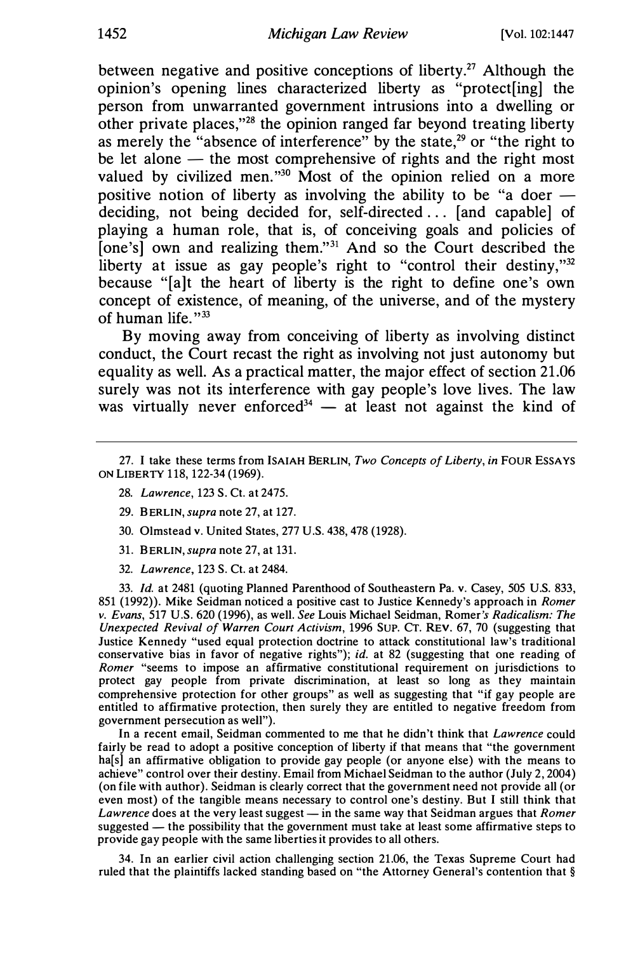between negative and positive conceptions of liberty.<sup>27</sup> Although the opinion's opening lines characterized liberty as "protect[ing] the person from unwarranted government intrusions into a dwelling or other private places,"28 the opinion ranged far beyond treating liberty as merely the "absence of interference" by the state,<sup>29</sup> or "the right to be let alone  $-$  the most comprehensive of rights and the right most valued by civilized men."<sup>30</sup> Most of the opinion relied on a more positive notion of liberty as involving the ability to be "a doer  $$ deciding, not being decided for, self-directed . . . [and capable] of playing a human role, that is, of conceiving goals and policies of [one's] own and realizing them."<sup>31</sup> And so the Court described the liberty at issue as gay people's right to "control their destiny,"<sup>32</sup> because "[a]t the heart of liberty is the right to define one's own concept of existence, of meaning, of the universe, and of the mystery of human life."33

By moving away from conceiving of liberty as involving distinct conduct, the Court recast the right as involving not just autonomy but equality as well. As a practical matter, the major effect of section 21.06 surely was not its interference with gay people's love lives. The law was virtually never enforced<sup>34</sup> - at least not against the kind of

- 28. Lawrence, 123 S. Ct. at 2475.
- 29. BERLIN, *supra* note 27, at 127.
- 30. Olmstead v. United States, 277 U.S. 438, 478 (1928).
- 31. BERLIN, supra note 27, at 131.
- 32. Lawrence, 123 S. Ct. at 2484.

33. Id. at 2481 (quoting Planned Parenthood of Southeastern Pa. v. Casey, 505 U.S. 833, 851 (1992)). Mike Seidman noticed a positive cast to Justice Kennedy's approach in Romer v. Evans, 517 U.S. 620 (1996), as well. See Louis Michael Seidman, Romer's Radicalism: The Unexpected Revival of Warren Court Activism, 1996 SUP. CT. REV . 67, 70 (suggesting that Justice Kennedy "used equal protection doctrine to attack constitutional law's traditional conservative bias in favor of negative rights"); id. at 82 (suggesting that one reading of Romer "seems to impose an affirmative constitutional requirement on jurisdictions to protect gay people from private discrimination, at least so long as they maintain comprehensive protection for other groups" as well as suggesting that "if gay people are entitled to affirmative protection, then surely they are entitled to negative freedom from government persecution as well").

In a recent email, Seidman commented to me that he didn't think that Lawrence could fairly be read to adopt a positive conception of liberty if that means that "the government ha[s] an affirmative obligation to provide gay people (or anyone else) with the means to achieve" control over their destiny. Email from Michael Seidman to the author (July 2, 2004) (on file with author). Seidman is clearly correct that the government need not provide all (or even most) of the tangible means necessary to control one's destiny. But I still think that Lawrence does at the very least suggest  $-$  in the same way that Seidman argues that Romer suggested - the possibility that the government must take at least some affirmative steps to provide gay people with the same liberties it provides to all others.

34. In an earlier civil action challenging section 21.06, the Texas Supreme Court had ruled that the plaintiffs lacked standing based on "the Attorney General's contention that §

<sup>27.</sup> I take these terms from ISAIAH BERLIN, Two Concepts of Liberty, in FOUR ESSAYS ON LIBERTY 118, 122-34 (1969).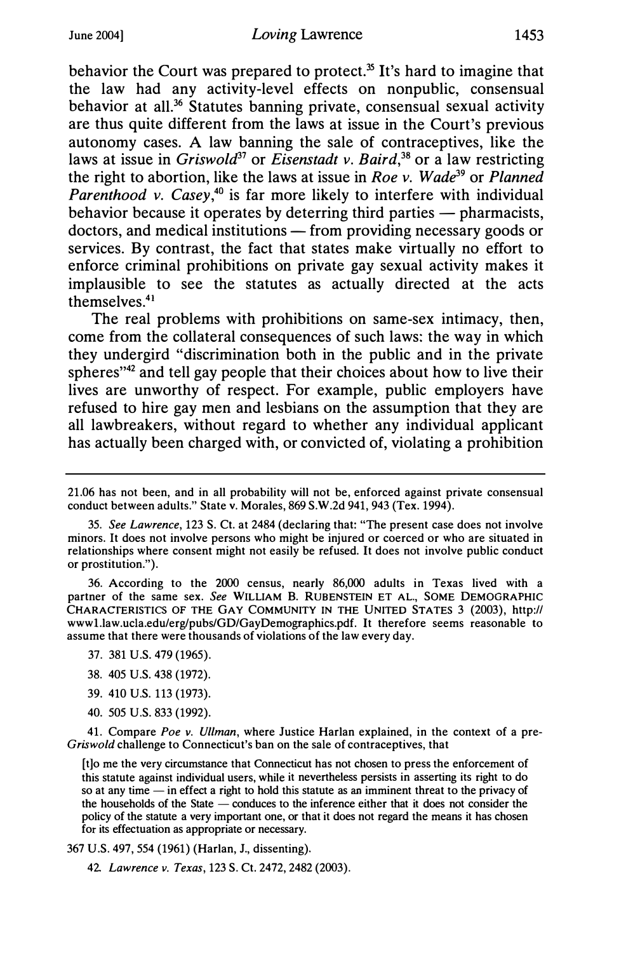behavior the Court was prepared to protect.<sup>35</sup> It's hard to imagine that the law had any activity-level effects on nonpublic, consensual behavior at all.<sup>36</sup> Statutes banning private, consensual sexual activity are thus quite different from the laws at issue in the Court's previous autonomy cases. A law banning the sale of contraceptives, like the laws at issue in Griswold<sup>37</sup> or Eisenstadt v. Baird,<sup>38</sup> or a law restricting the right to abortion, like the laws at issue in Roe v. Wade<sup>39</sup> or Planned Parenthood v. Casey, $40$  is far more likely to interfere with individual behavior because it operates by deterring third parties  $-$  pharmacists,  $dotors$ , and medical institutions  $-$  from providing necessary goods or services. By contrast, the fact that states make virtually no effort to enforce criminal prohibitions on private gay sexual activity makes it implausible to see the statutes as actually directed at the acts themselves.41

The real problems with prohibitions on same-sex intimacy, then, come from the collateral consequences of such laws: the way in which they undergird "discrimination both in the public and in the private spheres<sup>"42</sup> and tell gay people that their choices about how to live their lives are unworthy of respect. For example, public employers have refused to hire gay men and lesbians on the assumption that they are all lawbreakers, without regard to whether any individual applicant has actually been charged with, or convicted of, violating a prohibition

36. According to the 2000 census, nearly 86,000 adults in Texas lived with a partner of the same sex. See WILLIAM B. RUBENSTEIN ET AL., SOME DEMOGRAPHIC CHARACTERISTICS OF THE GAY COMMUNITY IN THE UNITED STATES 3 (2003), http:// wwwl.law.ucla.edu/erg/pubs/GD/GayDemographics.pdf. It therefore seems reasonable to assume that there were thousands of violations of the law every day.

- 37. 381 U.S. 479 (1965).
- 38. 405 U.S. 438 (1972).
- 39. 410 U.S. 113 (1973).
- 40. 505 U.S. 833 (1992).

41. Compare Poe v. Ullman, where Justice Harlan explained, in the context of a pre-Griswold challenge to Connecticut's ban on the sale of contraceptives, that

[t]o me the very circumstance that Connecticut has not chosen to press the enforcement of this statute against individual users, while it nevertheless persists in asserting its right to do so at any time — in effect a right to hold this statute as an imminent threat to the privacy of the households of the State  $-$  conduces to the inference either that it does not consider the policy of the statute a very important one, or that it does not regard the means it has chosen for its effectuation as appropriate or necessary.

367 U.S. 497, 554 (1961) (Harlan, J., dissenting).

42 Lawrence v. Texas, 123 S. Ct. 2472, 2482 (2003).

<sup>21.06</sup> has not been, and in all probability will not be, enforced against private consensual conduct between adults." State v. Morales, 869 S.W.2d 941, 943 (Tex. 1994).

<sup>35.</sup> See Lawrence, 123 S. Ct. at 2484 (declaring that: "The present case does not involve minors. It does not involve persons who might be injured or coerced or who are situated in relationships where consent might not easily be refused. It does not involve public conduct or prostitution.").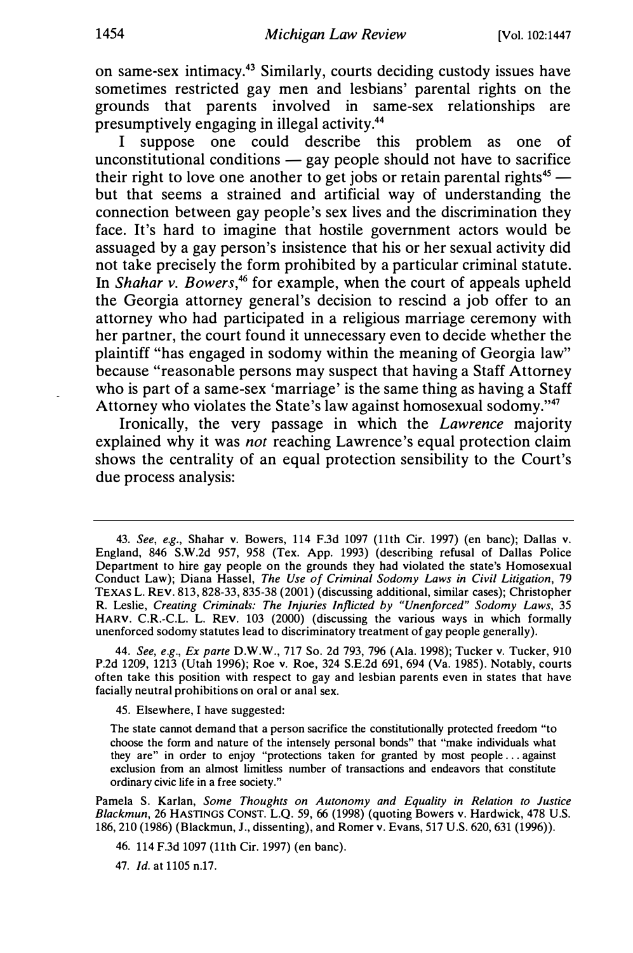on same-sex intimacy.43 Similarly, courts deciding custody issues have sometimes restricted gay men and lesbians' parental rights on the grounds that parents involved in same-sex relationships are presumptively engaging in illegal activity.44

I suppose one could describe this problem as one of unconstitutional conditions  $-$  gay people should not have to sacrifice their right to love one another to get jobs or retain parental rights<sup>45</sup>  $$ but that seems a strained and artificial way of understanding the connection between gay people's sex lives and the discrimination they face. It's hard to imagine that hostile government actors would be assuaged by a gay person's insistence that his or her sexual activity did not take precisely the form prohibited by a particular criminal statute. In Shahar v. Bowers,<sup>46</sup> for example, when the court of appeals upheld the Georgia attorney general's decision to rescind a job offer to an attorney who had participated in a religious marriage ceremony with her partner, the court found it unnecessary even to decide whether the plaintiff "has engaged in sodomy within the meaning of Georgia law" because "reasonable persons may suspect that having a Staff Attorney who is part of a same-sex 'marriage' is the same thing as having a Staff Attorney who violates the State's law against homosexual sodomy."47

Ironically, the very passage in which the Lawrence majority explained why it was not reaching Lawrence's equal protection claim shows the centrality of an equal protection sensibility to the Court's due process analysis:

43. See, e.g., Shahar v. Bowers, 114 F.3d 1097 (11th Cir. 1997) (en bane); Dallas v. England, 846 S.W.2d 957, 958 (Tex. App. 1993) (describing refusal of Dallas Police Department to hire gay people on the grounds they had violated the state's Homosexual Conduct Law); Diana Hassel, The Use of Criminal Sodomy Laws in Civil Litigation, 79 TEXAS L. REV. 813, 828-33, 835-38 (2001) (discussing additional, similar cases); Christopher R. Leslie, Creating Criminals: The Injuries Inflicted by "Unenforced" Sodomy Laws, 35 HARV. C.R.-C.L. L. REV. 103 (2000) (discussing the various ways in which formally unenforced sodomy statutes lead to discriminatory treatment of gay people generally).

44. See, e.g., Ex parte D.W.W., 717 So. 2d 793, 796 (Ala. 1998); Tucker v. Tucker. 910 P.2d 1209, 1213 (Utah 1996); Roe v. Roe, 324 S.E.2d 691, 694 (Va. 1985). Notably, courts often take this position with respect to gay and lesbian parents even in states that have facially neutral prohibitions on oral or anal sex.

45. Elsewhere, I have suggested:

The state cannot demand that a person sacrifice the constitutionally protected freedom "to choose the form and nature of the intensely personal bonds" that "make individuals what they are" in order to enjoy "protections taken for granted by most people ... against exclusion from an almost limitless number of transactions and endeavors that constitute ordinary civic life in a free society."

Pamela S. Karlan, Some Thoughts on Autonomy and Equality in Relation to Justice Blackmun, 26 HASTINGS CONST. L.Q. 59, 66 (1998) (quoting Bowers v. Hardwick, 478 U.S. 186, 210 (1986) (Blackmun, J., dissenting), and Romer v. Evans, 517 U.S. 620, 631 (1996)).

46. 114 F.3d 1097 (11th Cir. 1997) (en bane).

47. Id. at 1105 n.17.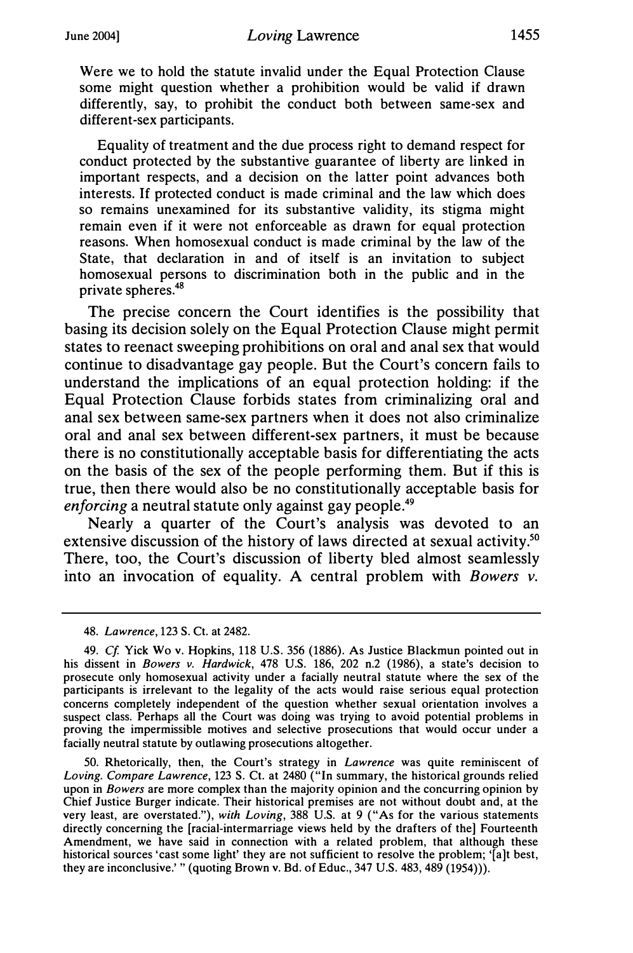Were we to hold the statute invalid under the Equal Protection Clause some might question whether a prohibition would be valid if drawn differently, say, to prohibit the conduct both between same-sex and different-sex participants.

Equality of treatment and the due process right to demand respect for conduct protected by the substantive guarantee of liberty are linked in important respects, and a decision on the latter point advances both interests. If protected conduct is made criminal and the law which does so remains unexamined for its substantive validity, its stigma might remain even if it were not enforceable as drawn for equal protection reasons. When homosexual conduct is made criminal by the law of the State, that declaration in and of itself is an invitation to subject homosexual persons to discrimination both in the public and in the private spheres.48

The precise concern the Court identifies is the possibility that basing its decision solely on the Equal Protection Clause might permit states to reenact sweeping prohibitions on oral and anal sex that would continue to disadvantage gay people. But the Court's concern fails to understand the implications of an equal protection holding: if the Equal Protection Clause forbids states from criminalizing oral and anal sex between same-sex partners when it does not also criminalize oral and anal sex between different-sex partners, it must be because there is no constitutionally acceptable basis for differentiating the acts on the basis of the sex of the people performing them. But if this is true, then there would also be no constitutionally acceptable basis for enforcing a neutral statute only against gay people.<sup>49</sup>

Nearly a quarter of the Court's analysis was devoted to an extensive discussion of the history of laws directed at sexual activity.<sup>50</sup> There, too, the Court's discussion of liberty bled almost seamlessly into an invocation of equality. A central problem with Bowers  $v$ .

50. Rhetorically, then, the Court's strategy in Lawrence was quite reminiscent of Loving. Compare Lawrence, 123 S. Ct. at 2480 ("In summary, the historical grounds relied upon in Bowers are more complex than the majority opinion and the concurring opinion by Chief Justice Burger indicate. Their historical premises are not without doubt and, at the very least, are overstated."), with Loving, 388 U.S. at 9 ("As for the various statements directly concerning the [racial-intermarriage views held by the drafters of the] Fourteenth Amendment, we have said in connection with a related problem, that although these historical sources 'cast some light' they are not sufficient to resolve the problem; '[a]t best, they are inconclusive.' " (quoting Brown v. Bd. of Educ., 347 U.S. 483, 489 (1954))).

<sup>48.</sup> Lawrence, 123 S. Ct. at 2482.

<sup>49.</sup> Cf Yick Wo v. Hopkins, 118 U.S. 356 (1886). As Justice Blackmun pointed out in his dissent in *Bowers v. Hardwick*, 478 U.S. 186, 202 n.2 (1986), a state's decision to prosecute only homosexual activity under a facially neutral statute where the sex of the participants is irrelevant to the legality of the acts would raise serious equal protection concerns completely independent of the question whether sexual orientation involves a suspect class. Perhaps all the Court was doing was trying to avoid potential problems in proving the impermissible motives and selective prosecutions that would occur under a facially neutral statute by outlawing prosecutions altogether.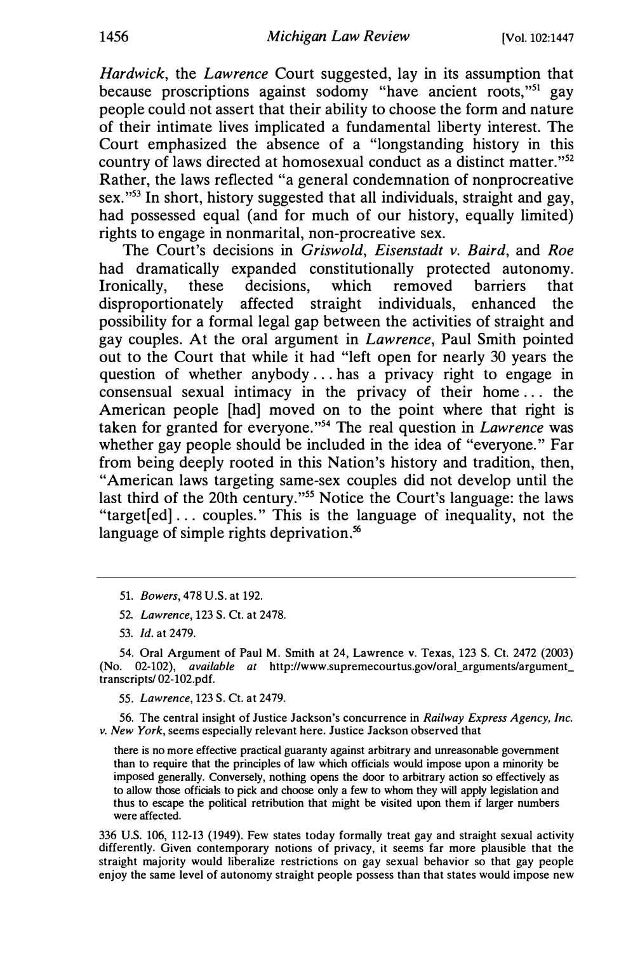Hardwick, the Lawrence Court suggested, lay in its assumption that because proscriptions against sodomy "have ancient roots,"<sup>51</sup> gay people could not assert that their ability to choose the form and nature of their intimate lives implicated a fundamental liberty interest. The Court emphasized the absence of a "longstanding history in this country of laws directed at homosexual conduct as a distinct matter."<sup>52</sup> Rather, the laws reflected "a general condemnation of nonprocreative sex."<sup>53</sup> In short, history suggested that all individuals, straight and gay, had possessed equal (and for much of our history, equally limited) rights to engage in nonmarital, non-procreative sex.

The Court's decisions in Griswold, Eisenstadt v. Baird, and Roe had dramatically expanded constitutionally protected autonomy. Ironically, these decisions, which removed barriers that disproportionately affected straight individuals, enhanced the possibility for a formal legal gap between the activities of straight and gay couples. At the oral argument in *Lawrence*, Paul Smith pointed out to the Court that while it had "left open for nearly 30 years the question of whether anybody ... has a privacy right to engage in consensual sexual intimacy in the privacy of their home... the American people [had] moved on to the point where that right is taken for granted for everyone."<sup>54</sup> The real question in *Lawrence* was whether gay people should be included in the idea of "everyone." Far from being deeply rooted in this Nation's history and tradition, then, "American laws targeting same-sex couples did not develop until the last third of the 20th century."<sup>55</sup> Notice the Court's language: the laws "target[ed] ... couples." This is the language of inequality, not the language of simple rights deprivation. $56$ 

- 51. Bowers, 478 U.S. at 192.
- 52 Lawrence, 123 S. Ct. at 2478.
- 53. Id. at 2479.

54. Oral Argument of Paul M. Smith at 24, Lawrence v. Texas, 123 S. Ct. 2472 (2003) (No. 02-102), available at http://www.supremecourtus.gov/oral\_arguments/argument\_ transcripts/ 02-102.pdf.

55. Lawrence, 123 S. Ct. at 2479.

56. The central insight of Justice Jackson's concurrence in Railway Express Agency, Inc. v. New York, seems especially relevant here. Justice Jackson observed that

there is no more effective practical guaranty against arbitrary and unreasonable government than to require that the principles of law which officials would impose upon a minority be imposed generally. Conversely, nothing opens the door to arbitrary action so effectively as to allow those officials to pick and choose only a few to whom they will apply legislation and thus to escape the political retribution that might be visited upon them if larger numbers were affected.

336 U.S. 106, 112-13 (1949). Few states today formally treat gay and straight sexual activity differently. Given contemporary notions of privacy, it seems far more plausible that the straight majority would liberalize restrictions on gay sexual behavior so that gay people enjoy the same level of autonomy straight people possess than that states would impose new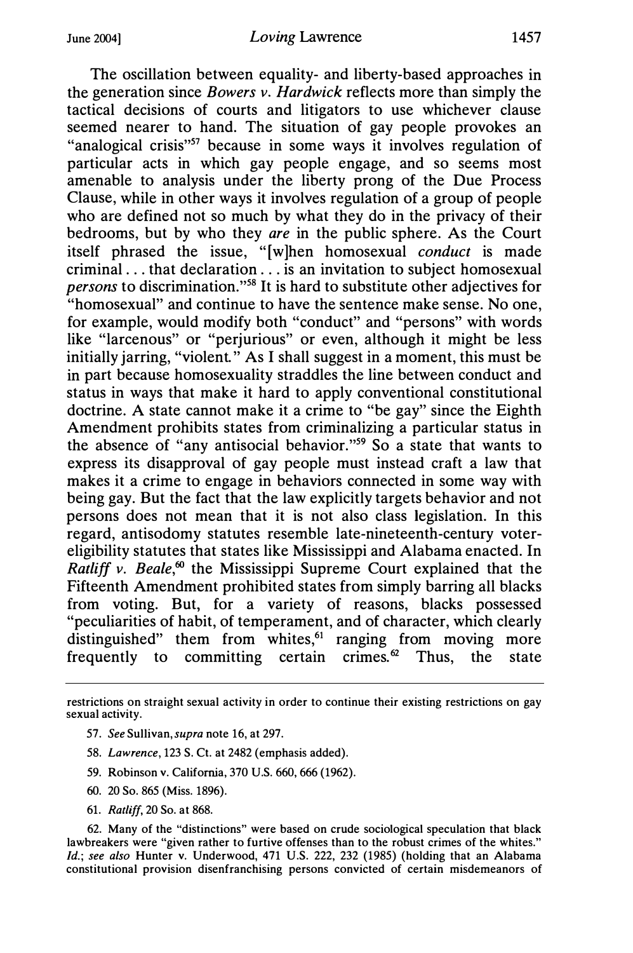The oscillation between equality- and liberty-based approaches in the generation since *Bowers v. Hardwick* reflects more than simply the tactical decisions of courts and litigators to use whichever clause seemed nearer to hand. The situation of gay people provokes an "analogical crisis"<sup>57</sup> because in some ways it involves regulation of particular acts in which gay people engage, and so seems most amenable to analysis under the liberty prong of the Due Process Clause, while in other ways it involves regulation of a group of people who are defined not so much by what they do in the privacy of their bedrooms, but by who they are in the public sphere. As the Court itself phrased the issue, "|w|hen homosexual *conduct* is made criminal ... that declaration ... is an invitation to subject homosexual persons to discrimination." 58 It is hard to substitute other adjectives for "homosexual" and continue to have the sentence make sense. No one, for example, would modify both "conduct" and "persons" with words like "larcenous" or "perjurious" or even, although it might be less initially jarring, "violent." As I shall suggest in a moment, this must be in part because homosexuality straddles the line between conduct and status in ways that make it hard to apply conventional constitutional doctrine. A state cannot make it a crime to "be gay" since the Eighth Amendment prohibits states from criminalizing a particular status in the absence of "any antisocial behavior."<sup>59</sup> So a state that wants to express its disapproval of gay people must instead craft a law that makes it a crime to engage in behaviors connected in some way with being gay. But the fact that the law explicitly targets behavior and not persons does not mean that it is not also class legislation. In this regard, antisodomy statutes resemble late-nineteenth-century votereligibility statutes that states like Mississippi and Alabama enacted. In *Ratliff*  $\nu$ . Beale,<sup>60</sup> the Mississippi Supreme Court explained that the Fifteenth Amendment prohibited states from simply barring all blacks from voting. But, for a variety of reasons, blacks possessed "peculiarities of habit, of temperament, and of character, which clearly distinguished" them from whites,<sup>61</sup> ranging from moving more frequently to committing certain crimes.<sup>62</sup> Thus, the state

restrictions on straight sexual activity in order to continue their existing restrictions on gay sexual activity.

- 57. See Sullivan, supra note 16, at 297.
- 58. Lawrence, 123 S. Ct. at 2482 (emphasis added).
- 59. Robinson v. California, 370 U.S. 660, 666 (1962).
- 60. 20 So. 865 (Miss. 1896).
- 61. Ratliff, 20 So. at 868.

62. Many of the "distinctions" were based on crude sociological speculation that black lawbreakers were "given rather to furtive offenses than to the robust crimes of the whites." Id.; see also Hunter v. Underwood, 471 U.S. 222, 232 (1985) (holding that an Alabama constitutional provision disenfranchising persons convicted of certain misdemeanors of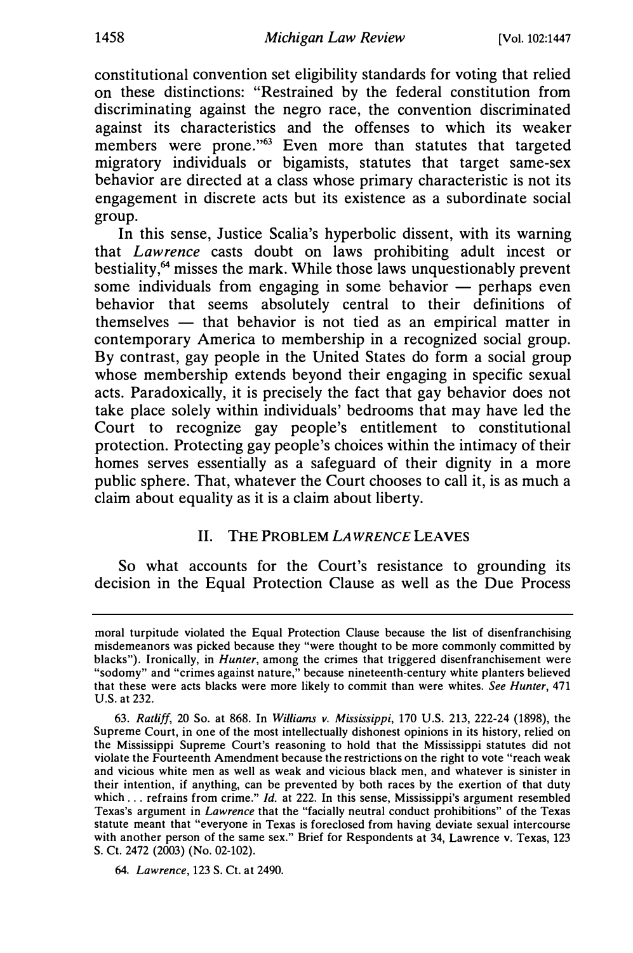constitutional convention set eligibility standards for voting that relied on these distinctions: "Restrained by the federal constitution from discriminating against the negro race, the convention discriminated against its characteristics and the offenses to which its weaker members were prone."<sup>63</sup> Even more than statutes that targeted migratory individuals or bigamists, statutes that target same-sex behavior are directed at a class whose primary characteristic is not its engagement in discrete acts but its existence as a subordinate social group.

In this sense, Justice Scalia's hyperbolic dissent, with its warning that Lawrence casts doubt on laws prohibiting adult incest or bestiality.<sup>64</sup> misses the mark. While those laws unquestionably prevent some individuals from engaging in some behavior  $-$  perhaps even behavior that seems absolutely central to their definitions of  $themselves$  — that behavior is not tied as an empirical matter in contemporary America to membership in a recognized social group. By contrast, gay people in the United States do form a social group whose membership extends beyond their engaging in specific sexual acts. Paradoxically, it is precisely the fact that gay behavior does not take place solely within individuals' bedrooms that may have led the Court to recognize gay people's entitlement to constitutional protection. Protecting gay people's choices within the intimacy of their homes serves essentially as a safeguard of their dignity in a more public sphere. That, whatever the Court chooses to call it, is as much a claim about equality as it is a claim about liberty.

#### II. THE PROBLEM LAWRENCE LEAVES

So what accounts for the Court's resistance to grounding its decision in the Equal Protection Clause as well as the Due Process

64. Lawrence, 123 S. Ct. at 2490.

moral turpitude violated the Equal Protection Clause because the list of disenfranchising misdemeanors was picked because they "were thought to be more commonly committed by blacks"). Ironically, in *Hunter*, among the crimes that triggered disenfranchisement were "sodomy" and "crimes against nature," because nineteenth-century white planters believed that these were acts blacks were more likely to commit than were whites. See Hunter, 471 U.S. at 232.

<sup>63.</sup> Ratliff, 20 So. at 868. In Williams v. Mississippi, 170 U.S. 213, 222-24 (1898), the Supreme Court, in one of the most intellectually dishonest opinions in its history, relied on the Mississippi Supreme Court's reasoning to hold that the Mississippi statutes did not violate the Fourteenth Amendment because the restrictions on the right to vote "reach weak and vicious white men as well as weak and vicious black men, and whatever is sinister in their intention, if anything, can be prevented by both races by the exertion of that duty which ... refrains from crime." Id. at 222. In this sense, Mississippi's argument resembled Texas's argument in Lawrence that the "facially neutral conduct prohibitions" of the Texas statute meant that "everyone in Texas is foreclosed from having deviate sexual intercourse with another person of the same sex." Brief for Respondents at 34, Lawrence v. Texas, 123 S. Ct. 2472 (2003) (No. 02-102).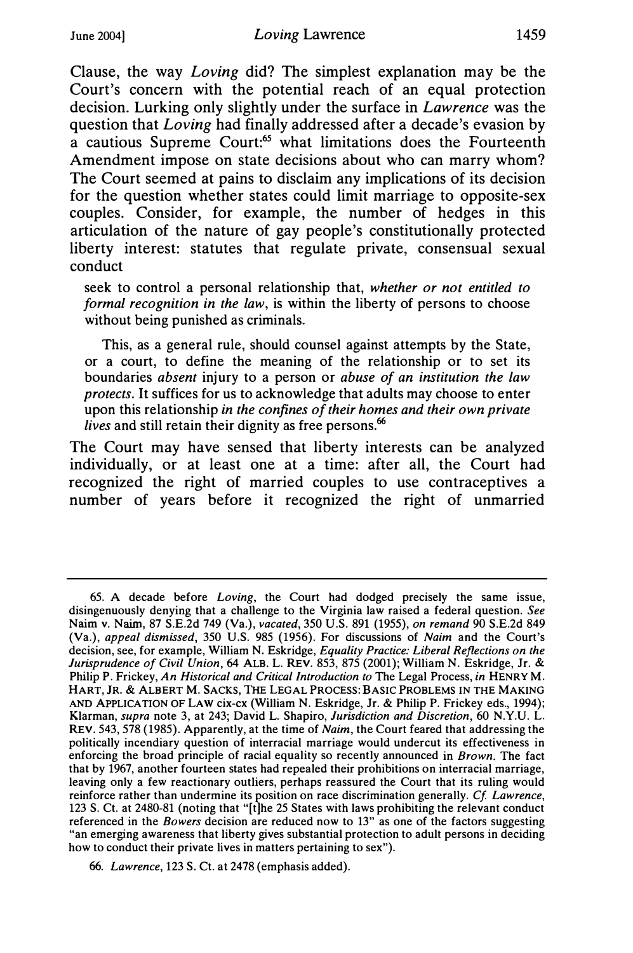Clause, the way Loving did? The simplest explanation may be the Court's concern with the potential reach of an equal protection decision. Lurking only slightly under the surface in Lawrence was the question that *Loving* had finally addressed after a decade's evasion by a cautious Supreme Court:65 what limitations does the Fourteenth Amendment impose on state decisions about who can marry whom? The Court seemed at pains to disclaim any implications of its decision for the question whether states could limit marriage to opposite-sex couples. Consider, for example, the number of hedges in this articulation of the nature of gay people's constitutionally protected liberty interest: statutes that regulate private, consensual sexual conduct

seek to control a personal relationship that, whether or not entitled to formal recognition in the law, is within the liberty of persons to choose without being punished as criminals.

This, as a general rule, should counsel against attempts by the State, or a court, to define the meaning of the relationship or to set its boundaries absent injury to a person or abuse of an institution the law protects. It suffices for us to acknowledge that adults may choose to enter upon this relationship in the confines of their homes and their own private lives and still retain their dignity as free persons.<sup>66</sup>

The Court may have sensed that liberty interests can be analyzed individually, or at least one at a time: after all, the Court had recognized the right of married couples to use contraceptives a number of years before it recognized the right of unmarried

<sup>65.</sup> A decade before Loving, the Court had dodged precisely the same issue, disingenuously denying that a challenge to the Virginia law raised a federal question. See Naim v. Naim, 87 S.E.2d 749 (Va.), vacated, 350 U.S. 891 (1955), on remand 90 S.E.2d 849 (Va.), appeal dismissed, 350 U.S. 985 (1956). For discussions of Nairn and the Court's decision, see, for example, William N. Eskridge, *Equality Practice: Liberal Reflections on the* Jurisprudence of Civil Union, 64 ALB. L. REV. 853, 875 (2001); William N. Eskridge, Jr. & Philip P. Frickey, An Historical and Critical Introduction to The Legal Process, in HENRY M. HART, JR. & ALBERT M. SACKS, THE LEGAL PROCESS: BASIC PROBLEMS IN THE MAKING AND APPLICATION OF LAW cix-cx (William N. Eskridge, Jr. & Philip P. Frickey eds., 1994); Klarman, supra note 3, at 243; David L. Shapiro, Jurisdiction and Discretion, 60 N.Y.U. L. REV. 543, 578 (1985). Apparently, at the time of *Naim*, the Court feared that addressing the politically incendiary question of interracial marriage would undercut its effectiveness in enforcing the broad principle of racial equality so recently announced in Brown. The fact that by 1967, another fourteen states had repealed their prohibitions on interracial marriage, leaving only a few reactionary outliers, perhaps reassured the Court that its ruling would reinforce rather than undermine its position on race discrimination generally. Cf. Lawrence, 123 S. Ct. at 2480-81 (noting that "[t]he 25 States with laws prohibiting the relevant conduct referenced in the Bowers decision are reduced now to 13" as one of the factors suggesting "an emerging awareness that liberty gives substantial protection to adult persons in deciding how to conduct their private lives in matters pertaining to sex").

<sup>66.</sup> Lawrence, 123 S. Ct. at 2478 (emphasis added).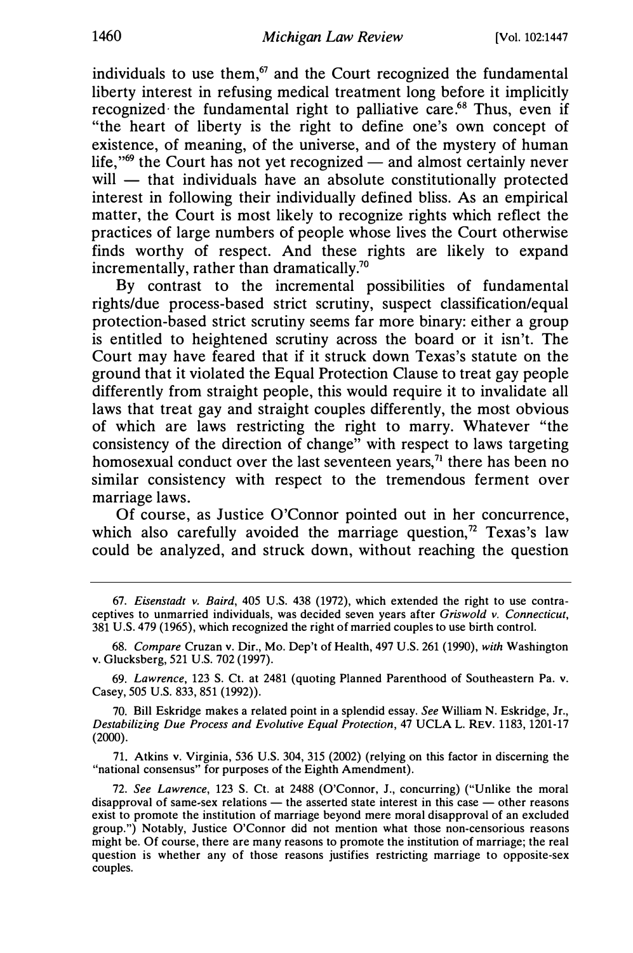individuals to use them, $\sigma$  and the Court recognized the fundamental liberty interest in refusing medical treatment long before it implicitly recognized the fundamental right to palliative care.<sup>68</sup> Thus, even if "the heart of liberty is the right to define one's own concept of existence, of meaning, of the universe, and of the mystery of human life," $\theta$ <sup>9</sup> the Court has not yet recognized — and almost certainly never will  $-$  that individuals have an absolute constitutionally protected interest in following their individually defined bliss. As an empirical matter, the Court is most likely to recognize rights which reflect the practices of large numbers of people whose lives the Court otherwise finds worthy of respect. And these rights are likely to expand incrementally, rather than dramatically.<sup>70</sup>

By contrast to the incremental possibilities of fundamental rights/due process-based strict scrutiny, suspect classification/equal protection-based strict scrutiny seems far more binary: either a group is entitled to heightened scrutiny across the board or it isn't. The Court may have feared that if it struck down Texas's statute on the ground that it violated the Equal Protection Clause to treat gay people differently from straight people, this would require it to invalidate all laws that treat gay and straight couples differently, the most obvious of which are laws restricting the right to marry. Whatever "the consistency of the direction of change" with respect to laws targeting homosexual conduct over the last seventeen years, $\frac{1}{1}$  there has been no similar consistency with respect to the tremendous ferment over marriage laws.

Of course, as Justice O'Connor pointed out in her concurrence, which also carefully avoided the marriage question, $\frac{1}{2}$  Texas's law could be analyzed, and struck down, without reaching the question

70. Bill Eskridge makes a related point in a splendid essay. See William N. Eskridge, Jr., Destabilizing Due Process and Evolutive Equal Protection, 47 UCLA L. REV. 1183, 1201-17 (2000).

71. Atkins v. Virginia, 536 U.S. 304, 315 (2002) (relying on this factor in discerning the "national consensus" for purposes of the Eighth Amendment).

72. See Lawrence, 123 S. Ct. at 2488 (O'Connor, J., concurring) ("Unlike the moral  $disapproved$  of same-sex relations  $-$  the asserted state interest in this case  $-$  other reasons exist to promote the institution of marriage beyond mere moral disapproval of an excluded group.") Notably, Justice O'Connor did not mention what those non-censorious reasons might be. Of course, there are many reasons to promote the institution of marriage; the real question is whether any of those reasons justifies restricting marriage to opposite-sex couples.

<sup>67.</sup> Eisenstadt v. Baird, 405 U.S. 438 (1972), which extended the right to use contraceptives to unmarried individuals, was decided seven years after Griswold v. Connecticut, 381 U.S. 479 (1965), which recognized the right of married couples to use birth control.

<sup>68.</sup> Compare Cruzan v. Dir., Mo. Dep't of Health, 497 U.S. 261 (1990), with Washington v. Glucksberg, 521 U.S. 702 (1997).

<sup>69.</sup> Lawrence, 123 S. Ct. at 2481 (quoting Planned Parenthood of Southeastern Pa. v. Casey, 505 U.S. 833, 851 (1992)).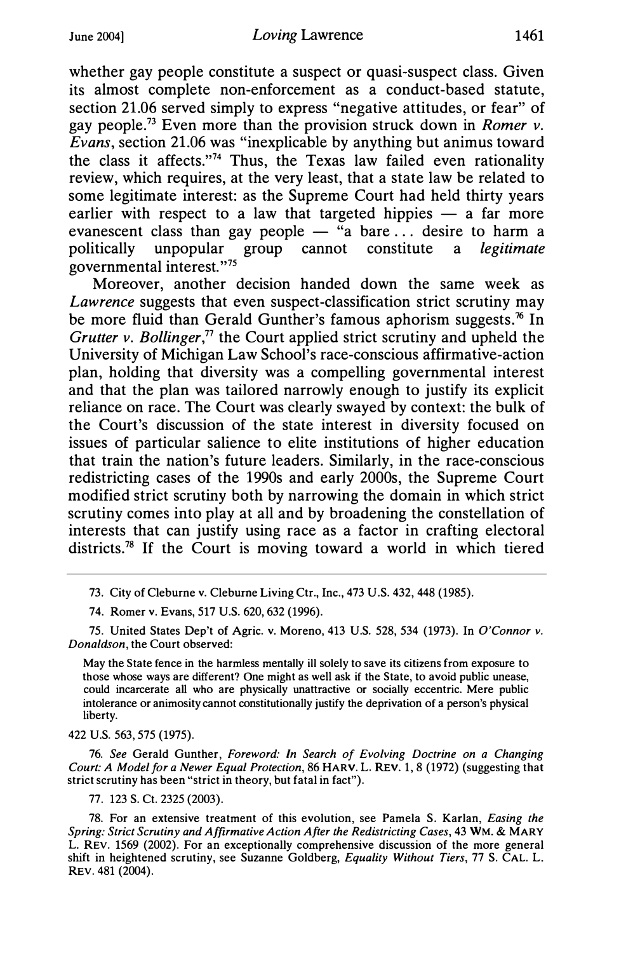whether gay people constitute a suspect or quasi-suspect class. Given its almost complete non-enforcement as a conduct-based statute, section 21.06 served simply to express "negative attitudes, or fear" of gay people.<sup>73</sup> Even more than the provision struck down in *Romer*  $v$ .  $Evans$ , section 21.06 was "inexplicable by anything but animus toward the class it affects."74 Thus, the Texas law failed even rationality review, which requires, at the very least, that a state law be related to some legitimate interest: as the Supreme Court had held thirty years earlier with respect to a law that targeted hippies  $-$  a far more evanescent class than gay people  $-$  "a bare ... desire to harm a politically unpopular group cannot constitute a legitimate governmental interest."75

Moreover, another decision handed down the same week as Lawrence suggests that even suspect-classification strict scrutiny may be more fluid than Gerald Gunther's famous aphorism suggests.<sup>76</sup> In Grutter v. Bollinger,<sup>77</sup> the Court applied strict scrutiny and upheld the University of Michigan Law School's race-conscious affirmative-action plan, holding that diversity was a compelling governmental interest and that the plan was tailored narrowly enough to justify its explicit reliance on race. The Court was clearly swayed by context: the bulk of the Court's discussion of the state interest in diversity focused on issues of particular salience to elite institutions of higher education that train the nation's future leaders. Similarly, in the race-conscious redistricting cases of the 1990s and early 2000s, the Supreme Court modified strict scrutiny both by narrowing the domain in which strict scrutiny comes into play at all and by broadening the constellation of interests that can justify using race as a factor in crafting electoral districts.78 If the Court is moving toward a world in which tiered

73. City of Cleburne v. Cleburne Living Ctr., Inc., 473 U.S. 432, 448 (1985).

74. Romer v. Evans, 517 U.S. 620, 632 (1996).

75. United States Dep't of Agric. v. Moreno, 413 U.S. 528, 534 (1973). In O'Connor v. Donaldson, the Court observed:

May the State fence in the harmless mentally ill solely to save its citizens from exposure to those whose ways are different? One might as well ask if the State, to avoid public unease, could incarcerate all who are physically unattractive or socially eccentric. Mere public intolerance or animosity cannot constitutionally justify the deprivation of a person's physical liberty.

#### 422 U.S. 563, 575 (1975).

76. See Gerald Gunther, Foreword: In Search of Evolving Doctrine on a Changing Court: A Model for a Newer Equal Protection, 86 HARV. L. REV. 1, 8 (1972) (suggesting that strict scrutiny has been "strict in theory, but fatal in fact").

77. 123 S. Ct. 2325 (2003).

78. For an extensive treatment of this evolution, see Pamela S. Karlan, Easing the Spring: Strict Scrutiny and Affirmative Action After the Redistricting Cases, 43 WM. & MARY L. REV. 1569 (2002). For an exceptionally comprehensive discussion of the more general shift in heightened scrutiny, see Suzanne Goldberg, Equality Without Tiers, 77 S. CAL. L. REV. 481 (2004).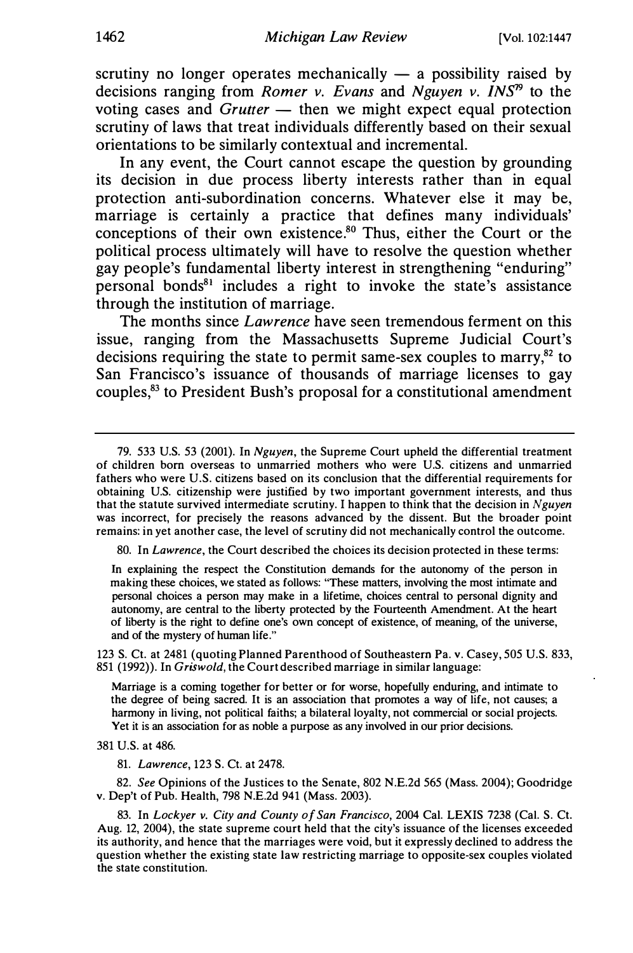scrutiny no longer operates mechanically  $-$  a possibility raised by decisions ranging from Romer v. Evans and Nguyen v.  $INS^{79}$  to the voting cases and  $Grutter$  — then we might expect equal protection scrutiny of laws that treat individuals differently based on their sexual orientations to be similarly contextual and incremental.

In any event, the Court cannot escape the question by grounding its decision in due process liberty interests rather than in equal protection anti-subordination concerns. Whatever else it may be, marriage is certainly a practice that defines many individuals' conceptions of their own existence.<sup>80</sup> Thus, either the Court or the political process ultimately will have to resolve the question whether gay people's fundamental liberty interest in strengthening "enduring" personal bonds<sup>81</sup> includes a right to invoke the state's assistance through the institution of marriage.

The months since *Lawrence* have seen tremendous ferment on this issue, ranging from the Massachusetts Supreme Judicial Court's decisions requiring the state to permit same-sex couples to marry, $82$  to San Francisco's issuance of thousands of marriage licenses to gay couples,83 to President Bush's proposal for a constitutional amendment

80. In Lawrence, the Court described the choices its decision protected in these terms:

In explaining the respect the Constitution demands for the autonomy of the person in making these choices, we stated as follows: "These matters, involving the most intimate and personal choices a person may make in a lifetime, choices central to personal dignity and autonomy, are central to the liberty protected by the Fourteenth Amendment. At the heart of liberty is the right to define one's own concept of existence, of meaning, of the universe, and of the mystery of human life."

123 S. Ct. at 2481 (quoting Planned Parenthood of Southeastern Pa. v. Casey, 505 U.S. 833, 851 (1992)). In *Griswold*, the Court described marriage in similar language:

Marriage is a coming together for better or for worse, hopefully enduring, and intimate to the degree of being sacred. It is an association that promotes a way of life, not causes; a harmony in living, not political faiths; a bilateral loyalty, not commercial or social projects. Yet it is an association for as noble a purpose as any involved in our prior decisions.

381 U.S. at 486.

81. Lawrence, 123 S. Ct. at 2478.

82. See Opinions of the Justices to the Senate, 802 N.E.2d 565 (Mass. 2004); Goodridge v. Dep't of Pub. Health, 798 N.E.2d 941 (Mass. 2003).

83. In Lockyer v. City and County of San Francisco, 2004 Cal. LEXIS 7238 (Cal. S. Ct. Aug. 12, 2004), the state supreme court held that the city's issuance of the licenses exceeded its authority, and hence that the marriages were void, but it expressly declined to address the question whether the existing state law restricting marriage to opposite-sex couples violated the state constitution.

<sup>79. 533</sup> U.S. 53 (2001). In Nguyen, the Supreme Court upheld the differential treatment of children born overseas to unmarried mothers who were U.S. citizens and unmarried fathers who were U.S. citizens based on its conclusion that the differential requirements for obtaining U.S. citizenship were justified by two important government interests, and thus that the statute survived intermediate scrutiny. I happen to think that the decision in Nguyen was incorrect, for precisely the reasons advanced by the dissent. But the broader point remains: in yet another case, the level of scrutiny did not mechanically control the outcome.